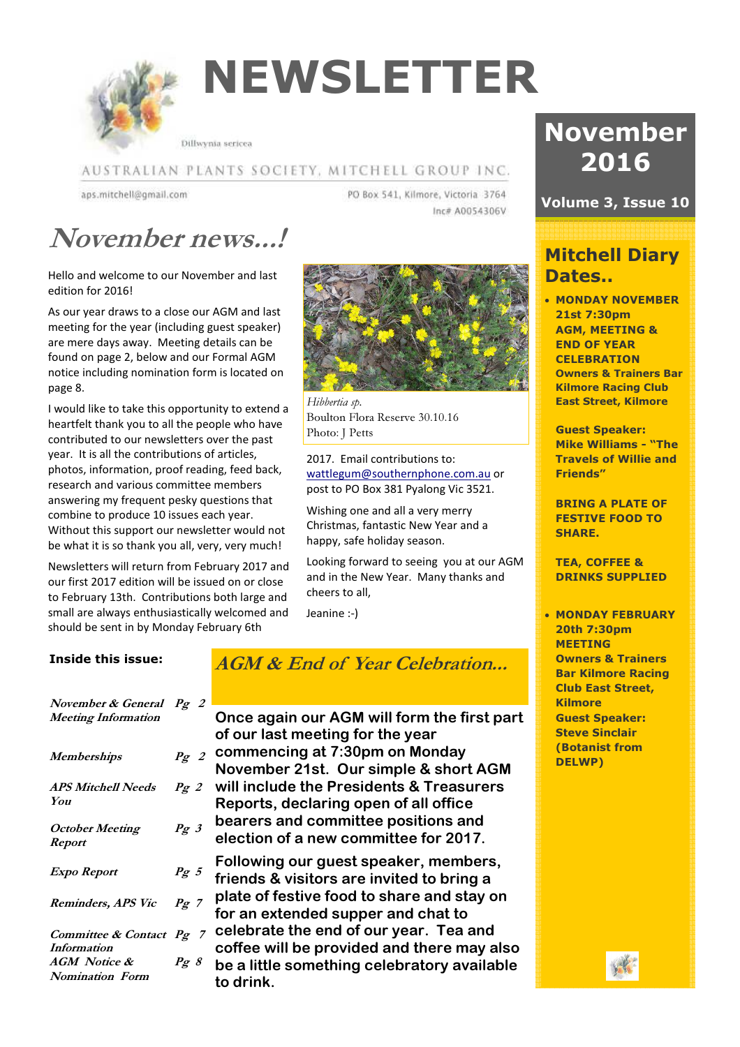

# NEWSLETTER

Dillwynia sericea

#### AUSTRALIAN PLANTS SOCIETY, MITCHELL GROUP INC.

aps.mitchell@gmail.com

PO Box 541, Kilmore, Victoria 3764 Inc# A0054306V

## November news...!

Hello and welcome to our November and last edition for 2016!

As our year draws to a close our AGM and last meeting for the year (including guest speaker) are mere days away. Meeting details can be found on page 2, below and our Formal AGM notice including nomination form is located on page 8.

I would like to take this opportunity to extend a heartfelt thank you to all the people who have contributed to our newsletters over the past year. It is all the contributions of articles, photos, information, proof reading, feed back, research and various committee members answering my frequent pesky questions that combine to produce 10 issues each year. Without this support our newsletter would not be what it is so thank you all, very, very much!

Newsletters will return from February 2017 and our first 2017 edition will be issued on or close to February 13th. Contributions both large and small are always enthusiastically welcomed and should be sent in by Monday February 6th



Hibbertia sp. Boulton Flora Reserve 30.10.16 Photo: J Petts

2017. Email contributions to: wattlegum@southernphone.com.au or post to PO Box 381 Pyalong Vic 3521.

Wishing one and all a very merry Christmas, fantastic New Year and a happy, safe holiday season.

Looking forward to seeing you at our AGM and in the New Year. Many thanks and cheers to all,

Jeanine :-)

#### Inside this issue:

| November & General Pg 2<br><b>Meeting Information</b> |                     |
|-------------------------------------------------------|---------------------|
| <b>Memberships</b>                                    | Pg2                 |
| <b>APS Mitchell Needs</b><br>You                      | Pg2                 |
| October Meeting<br><b>Report</b>                      | $Pg \,$ 3           |
| Expo Report                                           | $Pg\ 5$             |
| Reminders, APS Vic                                    | $Pg$ 7              |
| Committee & Contact Pg 7<br><i>Information</i>        |                     |
| <b>AGM</b> Notice &<br><b>Nomination Form</b>         | $P_{\mathcal{L}}$ 8 |

### AGM & End of Year Celebration...

Once again our AGM will form the first part

|             | of our last meeting for the year            |
|-------------|---------------------------------------------|
| g2          | commencing at 7:30pm on Monday              |
|             | November 21st. Our simple & short AGM       |
| g2          | will include the Presidents & Treasurers    |
|             | Reports, declaring open of all office       |
| $g \beta$   | bearers and committee positions and         |
|             | election of a new committee for 2017.       |
|             | Following our guest speaker, members,       |
| $g\,5$      | friends & visitors are invited to bring a   |
|             | plate of festive food to share and stay on  |
| $g \,$ 7    | for an extended supper and chat to          |
| $g \quad 7$ | celebrate the end of our year. Tea and      |
|             | coffee will be provided and there may also  |
| $g \, s$    | be a little something celebratory available |
|             | to drink.                                   |
|             |                                             |

## November 2016

### Volume 3, Issue 10

### Mitchell Diary Dates..

• MONDAY NOVEMBER 21st 7:30pm AGM, MEETING & END OF YEAR **CELEBRATION** Owners & Trainers Bar Kilmore Racing Club East Street, Kilmore

Guest Speaker: Mike Williams - "The Travels of Willie and Friends"

BRING A PLATE OF FESTIVE FOOD TO SHARE.

TEA, COFFEE & DRINKS SUPPLIED

• MONDAY FEBRUARY 20th 7:30pm MEETING Owners & Trainers Bar Kilmore Racing Club East Street, Kilmore Guest Speaker: Steve Sinclair (Botanist from DELWP)

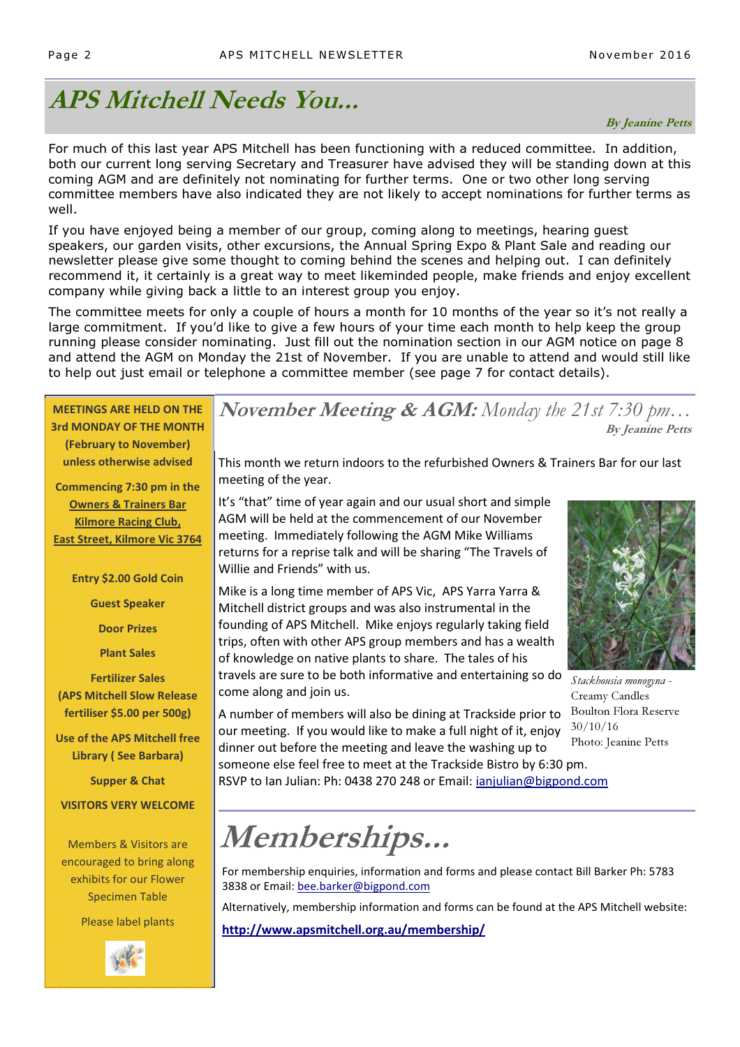## APS Mitchell Needs You...

#### By Jeanine Petts

For much of this last year APS Mitchell has been functioning with a reduced committee. In addition, both our current long serving Secretary and Treasurer have advised they will be standing down at this coming AGM and are definitely not nominating for further terms. One or two other long serving committee members have also indicated they are not likely to accept nominations for further terms as well.

If you have enjoyed being a member of our group, coming along to meetings, hearing guest speakers, our garden visits, other excursions, the Annual Spring Expo & Plant Sale and reading our newsletter please give some thought to coming behind the scenes and helping out. I can definitely recommend it, it certainly is a great way to meet likeminded people, make friends and enjoy excellent company while giving back a little to an interest group you enjoy.

The committee meets for only a couple of hours a month for 10 months of the year so it's not really a large commitment. If you'd like to give a few hours of your time each month to help keep the group running please consider nominating. Just fill out the nomination section in our AGM notice on page 8 and attend the AGM on Monday the 21st of November. If you are unable to attend and would still like to help out just email or telephone a committee member (see page 7 for contact details).

| <b>MEETINGS ARE HELD ON THE</b><br><b>3rd MONDAY OF THE MONTH</b>                                       | November Meeting & AGM: Monday the 21st 7:30 pm                                                                                                                                                                                                                            | <b>By Jeanine Petts</b>                  |  |  |  |
|---------------------------------------------------------------------------------------------------------|----------------------------------------------------------------------------------------------------------------------------------------------------------------------------------------------------------------------------------------------------------------------------|------------------------------------------|--|--|--|
| (February to November)<br>unless otherwise advised<br>Commencing 7:30 pm in the                         | This month we return indoors to the refurbished Owners & Trainers Bar for our last<br>meeting of the year.                                                                                                                                                                 |                                          |  |  |  |
| <b>Owners &amp; Trainers Bar</b><br><b>Kilmore Racing Club,</b><br><b>East Street, Kilmore Vic 3764</b> | It's "that" time of year again and our usual short and simple<br>AGM will be held at the commencement of our November<br>meeting. Immediately following the AGM Mike Williams                                                                                              |                                          |  |  |  |
| Entry \$2.00 Gold Coin<br><b>Guest Speaker</b>                                                          | returns for a reprise talk and will be sharing "The Travels of<br>Willie and Friends" with us.<br>Mike is a long time member of APS Vic, APS Yarra Yarra &                                                                                                                 |                                          |  |  |  |
| <b>Door Prizes</b>                                                                                      | Mitchell district groups and was also instrumental in the<br>founding of APS Mitchell. Mike enjoys regularly taking field<br>trips, often with other APS group members and has a wealth                                                                                    |                                          |  |  |  |
| <b>Plant Sales</b><br><b>Fertilizer Sales</b><br><b>(APS Mitchell Slow Release</b>                      | of knowledge on native plants to share. The tales of his<br>travels are sure to be both informative and entertaining so do<br>come along and join us.                                                                                                                      | Stackhousia monogyna -<br>Creamy Candles |  |  |  |
| fertiliser \$5.00 per 500g)<br>Use of the APS Mitchell free                                             | A number of members will also be dining at Trackside prior to<br>our meeting. If you would like to make a full night of it, enjoy                                                                                                                                          | <b>Boulton Flora Reserve</b><br>30/10/16 |  |  |  |
| <b>Library (See Barbara)</b>                                                                            | Photo: Jeanine Petts<br>dinner out before the meeting and leave the washing up to<br>someone else feel free to meet at the Trackside Bistro by 6:30 pm.                                                                                                                    |                                          |  |  |  |
| <b>Supper &amp; Chat</b><br><b>VISITORS VERY WELCOME</b>                                                | RSVP to Ian Julian: Ph: 0438 270 248 or Email: ianjulian@bigpond.com                                                                                                                                                                                                       |                                          |  |  |  |
| <b>Members &amp; Visitors are</b>                                                                       | Memberships                                                                                                                                                                                                                                                                |                                          |  |  |  |
| encouraged to bring along<br>exhibits for our Flower<br><b>Specimen Table</b>                           | For membership enquiries, information and forms and please contact Bill Barker Ph: 5783<br>3838 or Email: bee.barker@bigpond.com<br>Alternatively, membership information and forms can be found at the APS Mitchell website:<br>http://www.apsmitchell.org.au/membership/ |                                          |  |  |  |
| Please label plants                                                                                     |                                                                                                                                                                                                                                                                            |                                          |  |  |  |

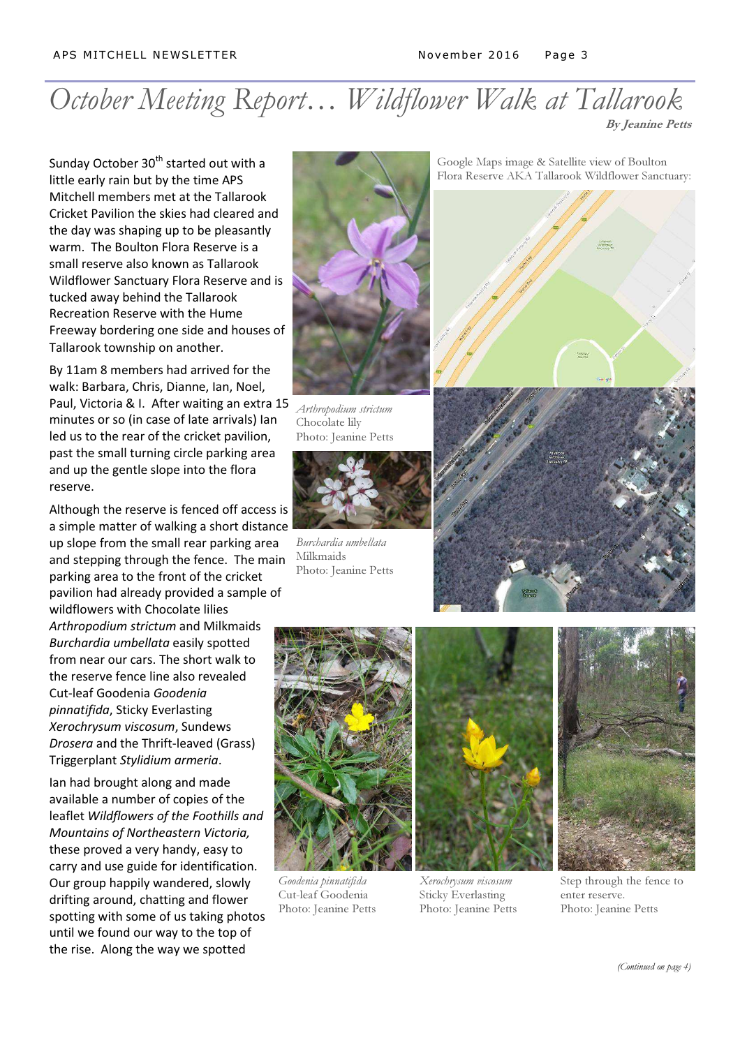### October Meeting Report... Wildflower Walk at Tallarook By Jeanine Petts

Sunday October 30<sup>th</sup> started out with a little early rain but by the time APS Mitchell members met at the Tallarook Cricket Pavilion the skies had cleared and the day was shaping up to be pleasantly warm. The Boulton Flora Reserve is a small reserve also known as Tallarook Wildflower Sanctuary Flora Reserve and is tucked away behind the Tallarook Recreation Reserve with the Hume Freeway bordering one side and houses of Tallarook township on another.

By 11am 8 members had arrived for the walk: Barbara, Chris, Dianne, Ian, Noel, Paul, Victoria & I. After waiting an extra 15 minutes or so (in case of late arrivals) Ian led us to the rear of the cricket pavilion, past the small turning circle parking area and up the gentle slope into the flora reserve.

Although the reserve is fenced off access is a simple matter of walking a short distance up slope from the small rear parking area and stepping through the fence. The main parking area to the front of the cricket pavilion had already provided a sample of wildflowers with Chocolate lilies Arthropodium strictum and Milkmaids Burchardia umbellata easily spotted from near our cars. The short walk to the reserve fence line also revealed Cut-leaf Goodenia Goodenia pinnatifida, Sticky Everlasting Xerochrysum viscosum, Sundews Drosera and the Thrift-leaved (Grass) Triggerplant Stylidium armeria.

Ian had brought along and made available a number of copies of the leaflet Wildflowers of the Foothills and Mountains of Northeastern Victoria, these proved a very handy, easy to carry and use guide for identification. Our group happily wandered, slowly drifting around, chatting and flower spotting with some of us taking photos until we found our way to the top of the rise. Along the way we spotted



Arthropodium strictum Chocolate lily Photo: Jeanine Petts



Burchardia umbellata Milkmaids Photo: Jeanine Petts

Google Maps image & Satellite view of Boulton Flora Reserve AKA Tallarook Wildflower Sanctuary:







Goodenia pinnatifida Cut-leaf Goodenia Photo: Jeanine Petts



Xerochrysum viscosum Sticky Everlasting Photo: Jeanine Petts



Step through the fence to enter reserve. Photo: Jeanine Petts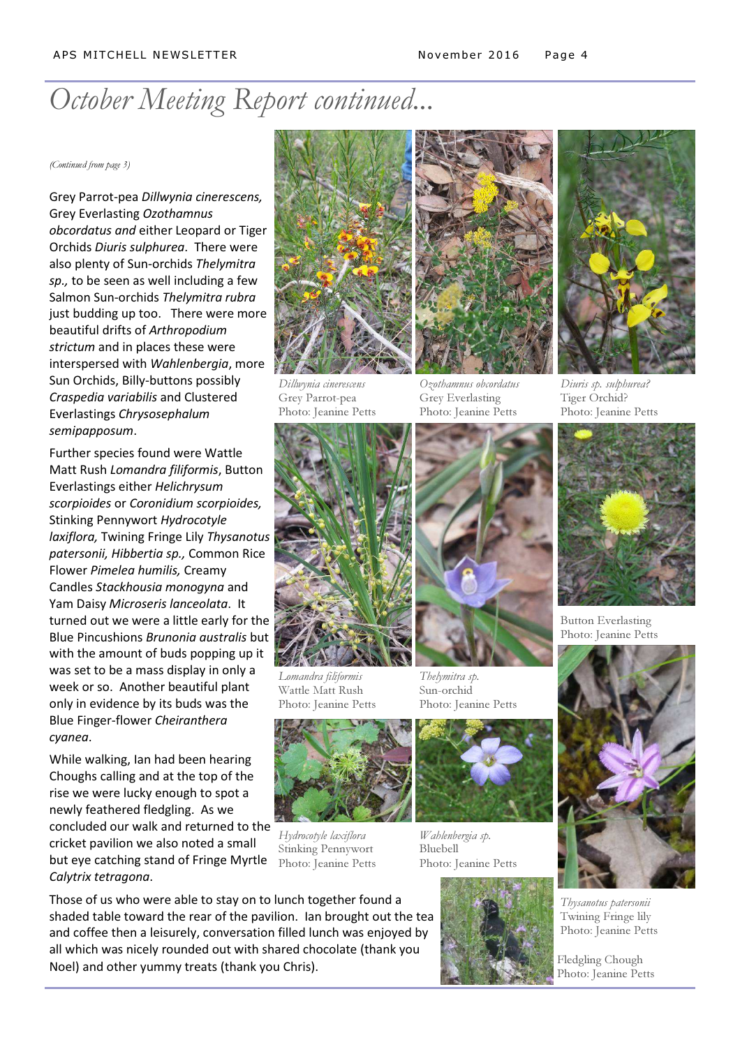## October Meeting Report continued...

(Continued from page 3)

Grey Parrot-pea Dillwynia cinerescens, Grey Everlasting Ozothamnus obcordatus and either Leopard or Tiger Orchids Diuris sulphurea. There were also plenty of Sun-orchids Thelymitra sp., to be seen as well including a few Salmon Sun-orchids Thelymitra rubra just budding up too. There were more beautiful drifts of Arthropodium strictum and in places these were interspersed with Wahlenbergia, more Sun Orchids, Billy-buttons possibly Craspedia variabilis and Clustered Everlastings Chrysosephalum semipapposum.

Further species found were Wattle Matt Rush Lomandra filiformis, Button Everlastings either Helichrysum scorpioides or Coronidium scorpioides, Stinking Pennywort Hydrocotyle laxiflora, Twining Fringe Lily Thysanotus patersonii, Hibbertia sp., Common Rice Flower Pimelea humilis, Creamy Candles Stackhousia monogyna and Yam Daisy Microseris lanceolata. It turned out we were a little early for the Blue Pincushions Brunonia australis but with the amount of buds popping up it was set to be a mass display in only a week or so. Another beautiful plant only in evidence by its buds was the Blue Finger-flower Cheiranthera cyanea.

While walking, Ian had been hearing Choughs calling and at the top of the rise we were lucky enough to spot a newly feathered fledgling. As we concluded our walk and returned to the cricket pavilion we also noted a small but eye catching stand of Fringe Myrtle Calytrix tetragona.



Dillwynia cinerescens Grey Parrot-pea Photo: Jeanine Petts



Lomandra filiformis Wattle Matt Rush Photo: Jeanine Petts



Hydrocotyle laxiflora Stinking Pennywort Photo: Jeanine Petts



Thelymitra sp.

Grey Everlasting Photo: Jeanine Petts

Wahlenbergia sp. Bluebell Photo: Jeanine Petts





Diuris sp. sulphurea? Tiger Orchid? Photo: Jeanine Petts



Button Everlasting Photo: Jeanine Petts

![](_page_3_Picture_20.jpeg)

Thysanotus patersonii Twining Fringe lily Photo: Jeanine Petts

Fledgling Chough Photo: Jeanine Petts

Those of us who were able to stay on to lunch together found a shaded table toward the rear of the pavilion. Ian brought out the tea and coffee then a leisurely, conversation filled lunch was enjoyed by all which was nicely rounded out with shared chocolate (thank you Noel) and other yummy treats (thank you Chris).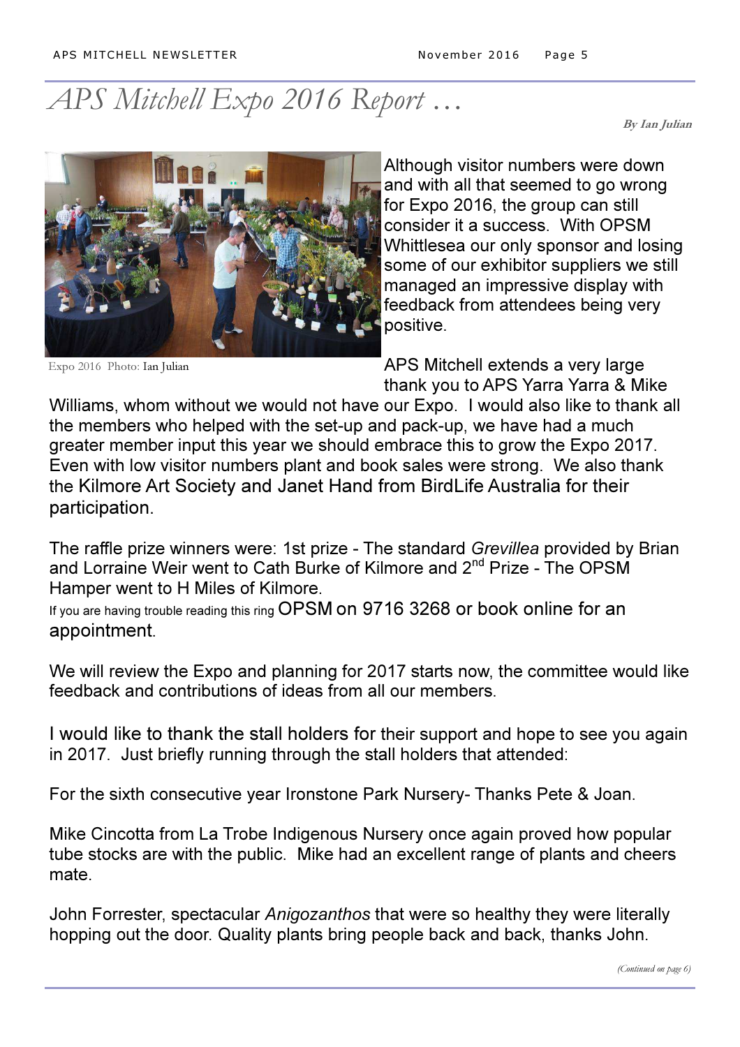## APS Mitchell Expo 2016 Report …

By Ian Julian

![](_page_4_Picture_4.jpeg)

Expo 2016 Photo: Ian Julian

Although visitor numbers were down and with all that seemed to go wrong for Expo 2016, the group can still consider it a success. With OPSM Whittlesea our only sponsor and losing some of our exhibitor suppliers we still managed an impressive display with feedback from attendees being very positive.

APS Mitchell extends a very large thank you to APS Yarra Yarra & Mike

Williams, whom without we would not have our Expo. I would also like to thank all the members who helped with the set-up and pack-up, we have had a much greater member input this year we should embrace this to grow the Expo 2017. Even with low visitor numbers plant and book sales were strong. We also thank the Kilmore Art Society and Janet Hand from BirdLife Australia for their participation.

The raffle prize winners were: 1st prize - The standard Grevillea provided by Brian and Lorraine Weir went to Cath Burke of Kilmore and 2<sup>nd</sup> Prize - The OPSM Hamper went to H Miles of Kilmore.

If you are having trouble reading this ring OPSM on 9716 3268 or book online for an appointment.

We will review the Expo and planning for 2017 starts now, the committee would like feedback and contributions of ideas from all our members.

I would like to thank the stall holders for their support and hope to see you again in 2017. Just briefly running through the stall holders that attended:

For the sixth consecutive year Ironstone Park Nursery- Thanks Pete & Joan.

Mike Cincotta from La Trobe Indigenous Nursery once again proved how popular tube stocks are with the public. Mike had an excellent range of plants and cheers mate.

John Forrester, spectacular Anigozanthos that were so healthy they were literally hopping out the door. Quality plants bring people back and back, thanks John.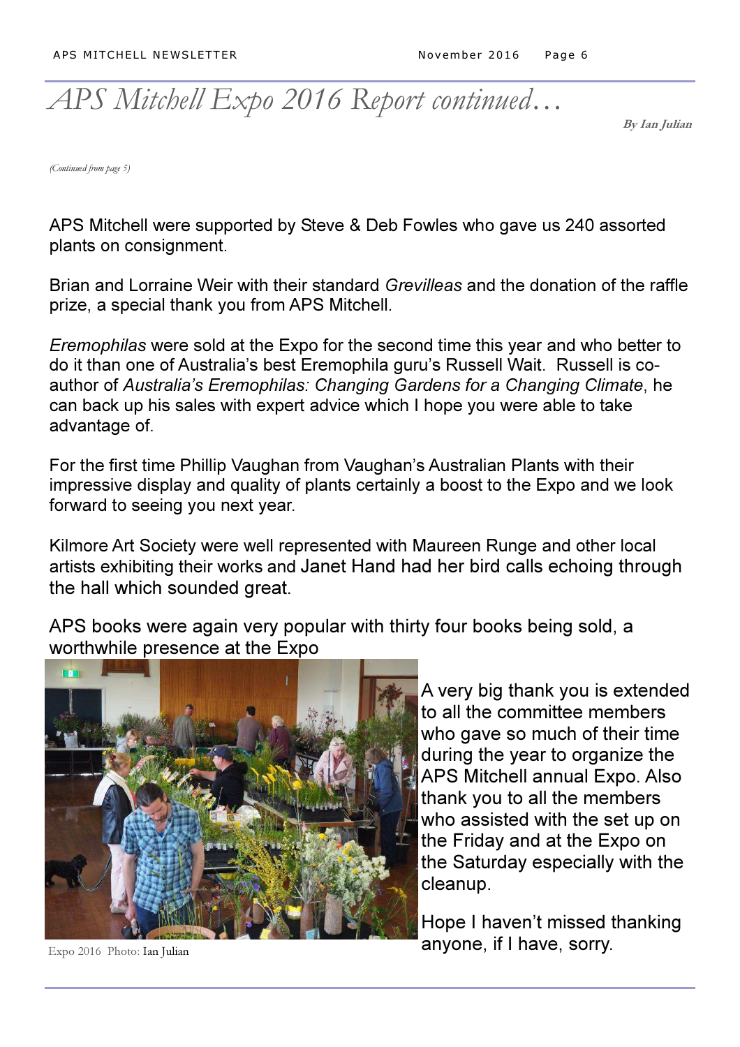## APS Mitchell Expo 2016 Report continued…

By Ian Julian

(Continued from page 5)

APS Mitchell were supported by Steve & Deb Fowles who gave us 240 assorted plants on consignment.

Brian and Lorraine Weir with their standard Grevilleas and the donation of the raffle prize, a special thank you from APS Mitchell.

Eremophilas were sold at the Expo for the second time this year and who better to do it than one of Australia's best Eremophila guru's Russell Wait. Russell is coauthor of Australia's Eremophilas: Changing Gardens for a Changing Climate, he can back up his sales with expert advice which I hope you were able to take advantage of.

For the first time Phillip Vaughan from Vaughan's Australian Plants with their impressive display and quality of plants certainly a boost to the Expo and we look forward to seeing you next year.

Kilmore Art Society were well represented with Maureen Runge and other local artists exhibiting their works and Janet Hand had her bird calls echoing through the hall which sounded great.

APS books were again very popular with thirty four books being sold, a worthwhile presence at the Expo

![](_page_5_Picture_11.jpeg)

A very big thank you is extended to all the committee members who gave so much of their time during the year to organize the APS Mitchell annual Expo. Also thank you to all the members who assisted with the set up on the Friday and at the Expo on the Saturday especially with the cleanup.

Hope I haven't missed thanking anyone, if I have, sorry.

Expo 2016 Photo: Ian Julian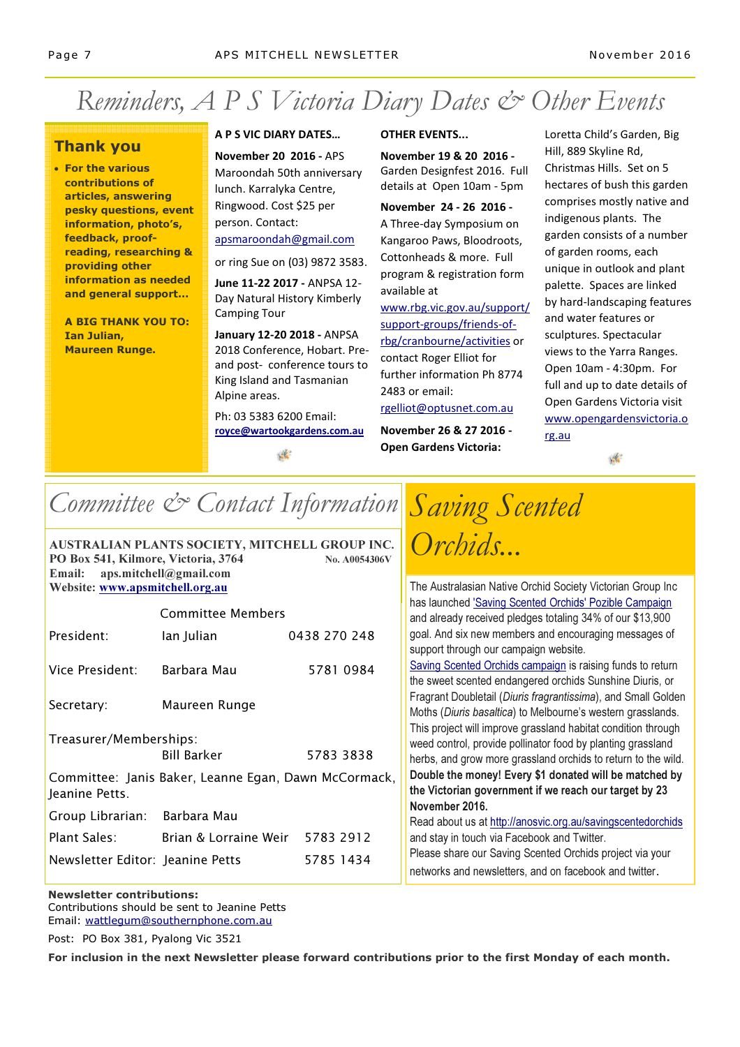## Reminders, A P S Victoria Diary Dates & Other Events

#### Thank you

• For the various contributions of articles, answering pesky questions, event information, photo's, feedback, proofreading, researching & providing other information as needed and general support...

A BIG THANK YOU TO: Ian Julian, Maureen Runge.

#### A P S VIC DIARY DATES…

November 20 2016 - APS Maroondah 50th anniversary lunch. Karralyka Centre, Ringwood. Cost \$25 per person. Contact: apsmaroondah@gmail.com

or ring Sue on (03) 9872 3583.

June 11-22 2017 - ANPSA 12- Day Natural History Kimberly Camping Tour

January 12-20 2018 - ANPSA 2018 Conference, Hobart. Preand post- conference tours to King Island and Tasmanian Alpine areas.

Ph: 03 5383 6200 Email: royce@wartookgardens.com.au

#### OTHER EVENTS...

November 19 & 20 2016 - Garden Designfest 2016. Full details at Open 10am - 5pm

November 24 - 26 2016 - A Three-day Symposium on Kangaroo Paws, Bloodroots, Cottonheads & more. Full program & registration form available at

www.rbg.vic.gov.au/support/ support-groups/friends-ofrbg/cranbourne/activities or contact Roger Elliot for further information Ph 8774 2483 or email: rgelliot@optusnet.com.au

November 26 & 27 2016 - Open Gardens Victoria:

Loretta Child's Garden, Big Hill, 889 Skyline Rd, Christmas Hills. Set on 5 hectares of bush this garden comprises mostly native and indigenous plants. The garden consists of a number of garden rooms, each unique in outlook and plant palette. Spaces are linked by hard-landscaping features and water features or sculptures. Spectacular views to the Yarra Ranges. Open 10am - 4:30pm. For full and up to date details of Open Gardens Victoria visit www.opengardensvictoria.o rg.au

 $\sqrt{2}$ 

## Committee & Contact Information Saving Scented

| <b>AUSTRALIAN PLANTS SOCIETY, MITCHELL GROUP INC.</b> |               |
|-------------------------------------------------------|---------------|
| PO Box 541, Kilmore, Victoria, 3764                   | No. A0054306V |
| Email: $aps.mitchell@gmail.com$                       |               |
| Website: www.apsmitchell.org.au                       |               |

| Committee Members                                                      |                                 |              |  |
|------------------------------------------------------------------------|---------------------------------|--------------|--|
| President:                                                             | lan Julian                      | 0438 270 248 |  |
| Vice President:                                                        | Barbara Mau                     | 5781 0984    |  |
| Secretary:                                                             | Maureen Runge                   |              |  |
| Treasurer/Memberships:                                                 |                                 |              |  |
|                                                                        | <b>Bill Barker</b>              | 5783 3838    |  |
| Committee: Janis Baker, Leanne Egan, Dawn McCormack,<br>Jeanine Petts. |                                 |              |  |
| Group Librarian: Barbara Mau                                           |                                 |              |  |
| Plant Sales:                                                           | Brian & Lorraine Weir 5783 2912 |              |  |
| Newsletter Editor: Jeanine Petts                                       |                                 | 5785 1434    |  |

Orchids...

The Australasian Native Orchid Society Victorian Group Inc has launched 'Saving Scented Orchids' Pozible Campaign and already received pledges totaling 34% of our \$13,900 goal. And six new members and encouraging messages of support through our campaign website.

Saving Scented Orchids campaign is raising funds to return the sweet scented endangered orchids Sunshine Diuris, or Fragrant Doubletail (Diuris fragrantissima), and Small Golden Moths (Diuris basaltica) to Melbourne's western grasslands. This project will improve grassland habitat condition through weed control, provide pollinator food by planting grassland herbs, and grow more grassland orchids to return to the wild. Double the money! Every \$1 donated will be matched by the Victorian government if we reach our target by 23 November 2016.

Read about us at http://anosvic.org.au/savingscentedorchids and stay in touch via Facebook and Twitter. Please share our Saving Scented Orchids project via your networks and newsletters, and on facebook and twitter.

Newsletter contributions: Contributions should be sent to Jeanine Petts Email: wattlegum@southernphone.com.au

Post: PO Box 381, Pyalong Vic 3521

For inclusion in the next Newsletter please forward contributions prior to the first Monday of each month.